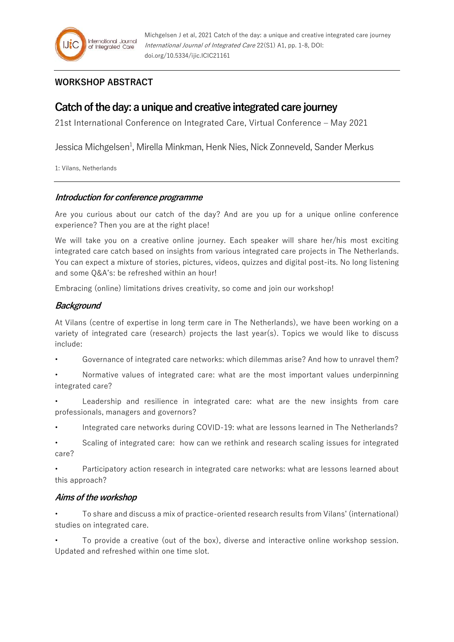# **WORKSHOP ABSTRACT**

# **Catch of the day: a unique and creative integrated care journey**

21st International Conference on Integrated Care, Virtual Conference – May 2021

Jessica Michgelsen<sup>1</sup>, Mirella Minkman, Henk Nies, Nick Zonneveld, Sander Merkus

1: Vilans, Netherlands

#### **Introduction for conference programme**

Are you curious about our catch of the day? And are you up for a unique online conference experience? Then you are at the right place!

We will take you on a creative online journey. Each speaker will share her/his most exciting integrated care catch based on insights from various integrated care projects in The Netherlands. You can expect a mixture of stories, pictures, videos, quizzes and digital post-its. No long listening and some Q&A's: be refreshed within an hour!

Embracing (online) limitations drives creativity, so come and join our workshop!

# **Background**

At Vilans (centre of expertise in long term care in The Netherlands), we have been working on a variety of integrated care (research) projects the last year(s). Topics we would like to discuss include:

• Governance of integrated care networks: which dilemmas arise? And how to unravel them?

• Normative values of integrated care: what are the most important values underpinning integrated care?

• Leadership and resilience in integrated care: what are the new insights from care professionals, managers and governors?

• Integrated care networks during COVID-19: what are lessons learned in The Netherlands?

• Scaling of integrated care: how can we rethink and research scaling issues for integrated care?

• Participatory action research in integrated care networks: what are lessons learned about this approach?

# **Aims of the workshop**

• To share and discuss a mix of practice-oriented research results from Vilans' (international) studies on integrated care.

• To provide a creative (out of the box), diverse and interactive online workshop session. Updated and refreshed within one time slot.